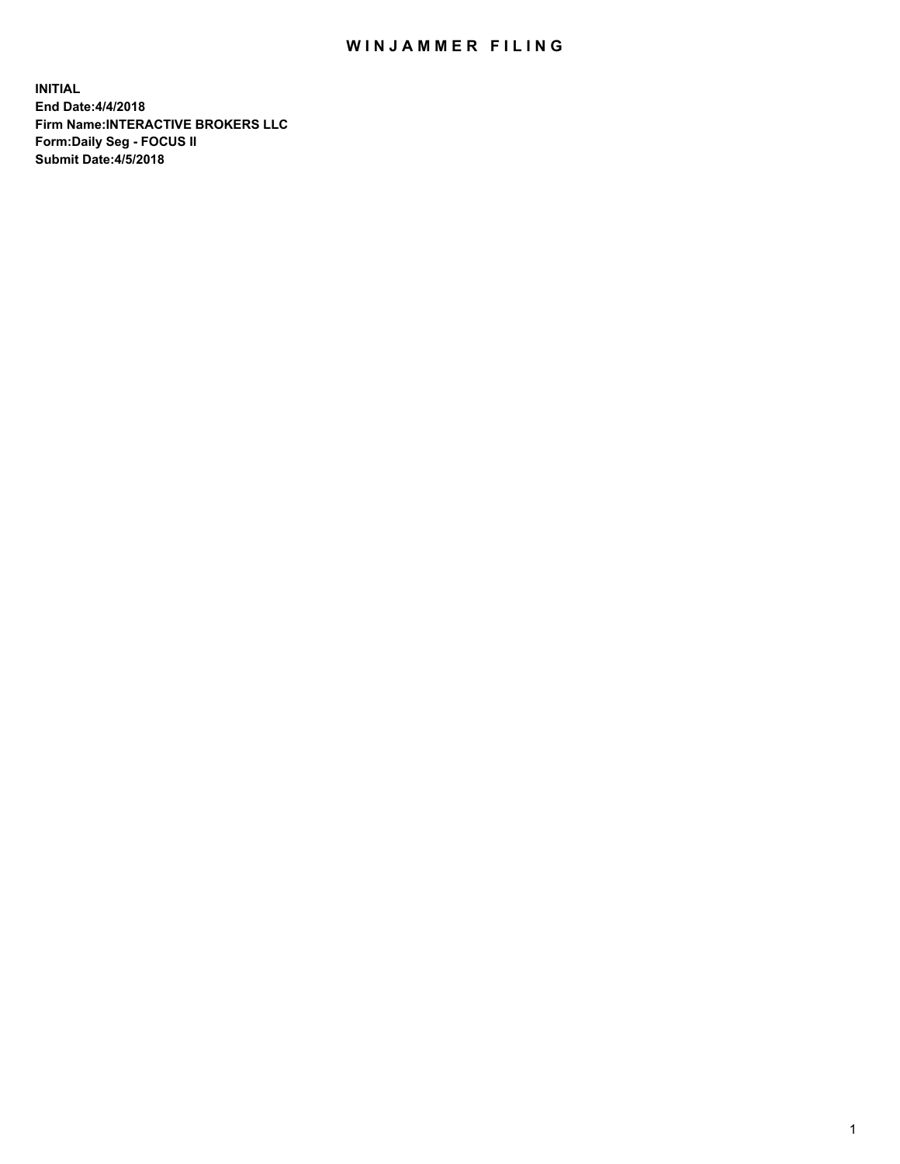## WIN JAMMER FILING

**INITIAL End Date:4/4/2018 Firm Name:INTERACTIVE BROKERS LLC Form:Daily Seg - FOCUS II Submit Date:4/5/2018**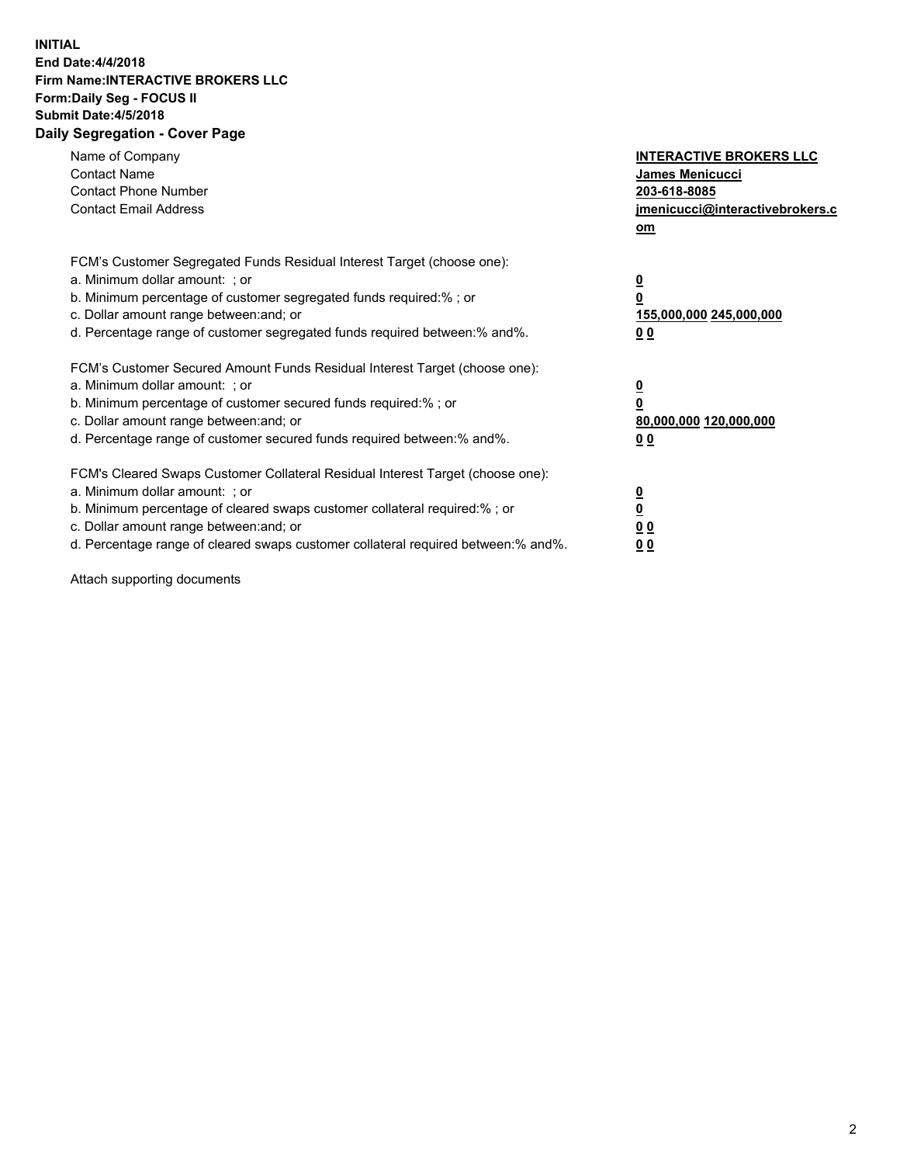## **INITIAL End Date:4/4/2018 Firm Name:INTERACTIVE BROKERS LLC Form:Daily Seg - FOCUS II Submit Date:4/5/2018 Daily Segregation - Cover Page**

| Name of Company<br><b>Contact Name</b><br><b>Contact Phone Number</b><br><b>Contact Email Address</b>                                                                                                                                                                                                                          | <b>INTERACTIVE BROKERS LLC</b><br>James Menicucci<br>203-618-8085<br>jmenicucci@interactivebrokers.c<br>om |
|--------------------------------------------------------------------------------------------------------------------------------------------------------------------------------------------------------------------------------------------------------------------------------------------------------------------------------|------------------------------------------------------------------------------------------------------------|
| FCM's Customer Segregated Funds Residual Interest Target (choose one):<br>a. Minimum dollar amount: ; or<br>b. Minimum percentage of customer segregated funds required:% ; or<br>c. Dollar amount range between: and; or<br>d. Percentage range of customer segregated funds required between:% and%.                         | $\overline{\mathbf{0}}$<br>0<br>155,000,000 245,000,000<br>0 <sub>0</sub>                                  |
| FCM's Customer Secured Amount Funds Residual Interest Target (choose one):<br>a. Minimum dollar amount: ; or<br>b. Minimum percentage of customer secured funds required:%; or<br>c. Dollar amount range between: and; or<br>d. Percentage range of customer secured funds required between: % and %.                          | $\overline{\mathbf{0}}$<br>0<br>80,000,000 120,000,000<br>0 <sub>0</sub>                                   |
| FCM's Cleared Swaps Customer Collateral Residual Interest Target (choose one):<br>a. Minimum dollar amount: ; or<br>b. Minimum percentage of cleared swaps customer collateral required:% ; or<br>c. Dollar amount range between: and; or<br>d. Percentage range of cleared swaps customer collateral required between:% and%. | $\overline{\mathbf{0}}$<br>$\overline{\mathbf{0}}$<br>0 <sub>0</sub><br>0 <sub>0</sub>                     |

Attach supporting documents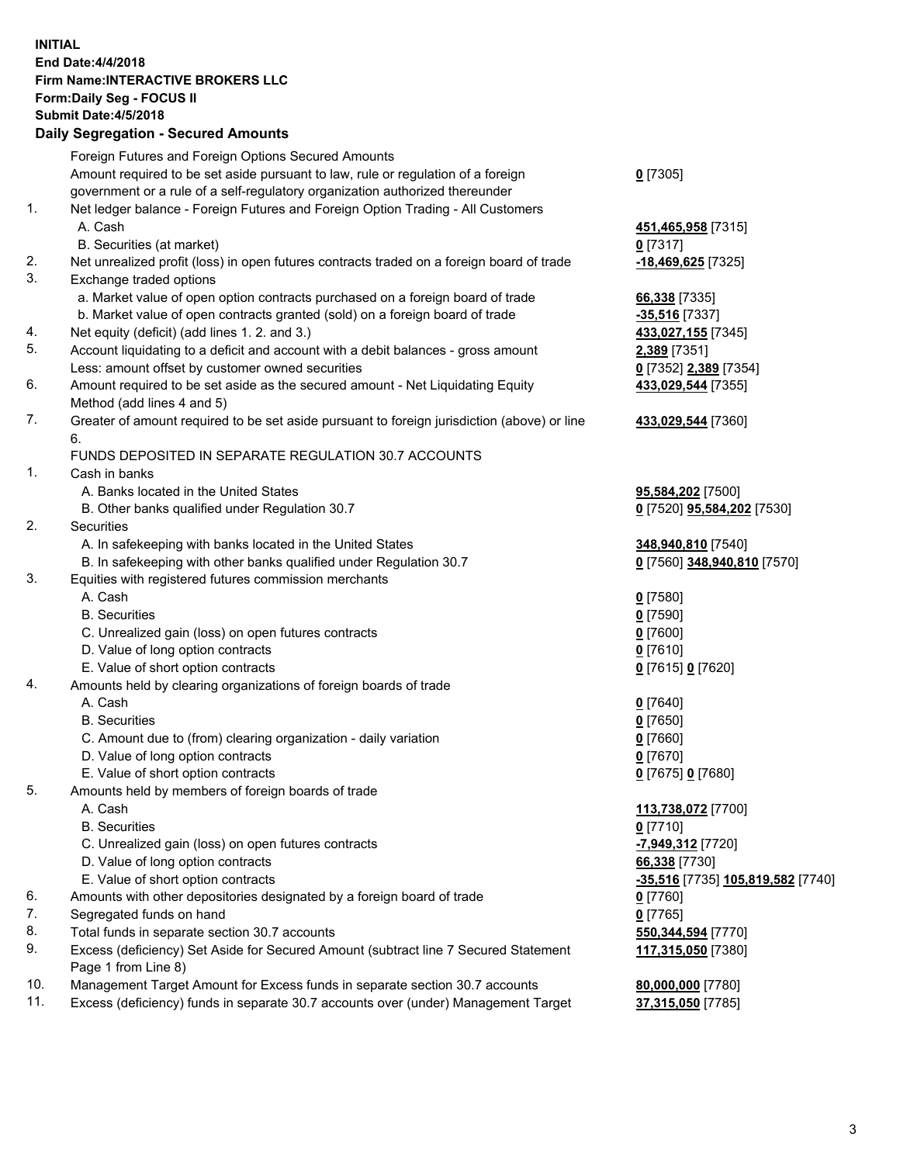## **INITIAL End Date:4/4/2018 Firm Name:INTERACTIVE BROKERS LLC Form:Daily Seg - FOCUS II Submit Date:4/5/2018 Daily Segregation - Secured Amounts**

|                | Daily Ocglegation - Occarea Anioants                                                                       |                                   |
|----------------|------------------------------------------------------------------------------------------------------------|-----------------------------------|
|                | Foreign Futures and Foreign Options Secured Amounts                                                        |                                   |
|                | Amount required to be set aside pursuant to law, rule or regulation of a foreign                           | $0$ [7305]                        |
|                | government or a rule of a self-regulatory organization authorized thereunder                               |                                   |
| 1.             | Net ledger balance - Foreign Futures and Foreign Option Trading - All Customers                            |                                   |
|                | A. Cash                                                                                                    | 451,465,958 [7315]                |
|                | B. Securities (at market)                                                                                  | $0$ [7317]                        |
| 2.             | Net unrealized profit (loss) in open futures contracts traded on a foreign board of trade                  | -18,469,625 <sup>[7325]</sup>     |
| 3.             | Exchange traded options                                                                                    |                                   |
|                | a. Market value of open option contracts purchased on a foreign board of trade                             | 66,338 [7335]                     |
|                | b. Market value of open contracts granted (sold) on a foreign board of trade                               | $-35,516$ [7337]                  |
| 4.             | Net equity (deficit) (add lines 1.2. and 3.)                                                               | 433,027,155 [7345]                |
| 5.             | Account liquidating to a deficit and account with a debit balances - gross amount                          | 2,389 [7351]                      |
|                | Less: amount offset by customer owned securities                                                           | 0 [7352] 2,389 [7354]             |
| 6.             | Amount required to be set aside as the secured amount - Net Liquidating Equity                             | 433,029,544 [7355]                |
|                | Method (add lines 4 and 5)                                                                                 |                                   |
| 7.             | Greater of amount required to be set aside pursuant to foreign jurisdiction (above) or line                | 433,029,544 [7360]                |
|                | 6.                                                                                                         |                                   |
|                | FUNDS DEPOSITED IN SEPARATE REGULATION 30.7 ACCOUNTS                                                       |                                   |
| $\mathbf{1}$ . | Cash in banks                                                                                              |                                   |
|                | A. Banks located in the United States                                                                      | 95,584,202 [7500]                 |
|                | B. Other banks qualified under Regulation 30.7                                                             | 0 [7520] 95,584,202 [7530]        |
| 2.             | Securities                                                                                                 |                                   |
|                | A. In safekeeping with banks located in the United States                                                  | 348,940,810 [7540]                |
|                | B. In safekeeping with other banks qualified under Regulation 30.7                                         | 0 [7560] 348,940,810 [7570]       |
| 3.             | Equities with registered futures commission merchants                                                      |                                   |
|                | A. Cash                                                                                                    | $0$ [7580]                        |
|                | <b>B.</b> Securities                                                                                       | $0$ [7590]                        |
|                | C. Unrealized gain (loss) on open futures contracts                                                        | $0$ [7600]                        |
|                | D. Value of long option contracts                                                                          | $0$ [7610]                        |
|                | E. Value of short option contracts                                                                         | 0 [7615] 0 [7620]                 |
| 4.             | Amounts held by clearing organizations of foreign boards of trade                                          |                                   |
|                | A. Cash                                                                                                    | $0$ [7640]                        |
|                | <b>B.</b> Securities                                                                                       | $0$ [7650]                        |
|                | C. Amount due to (from) clearing organization - daily variation                                            | $0$ [7660]                        |
|                | D. Value of long option contracts                                                                          | $0$ [7670]                        |
|                | E. Value of short option contracts                                                                         | 0 [7675] 0 [7680]                 |
| 5.             | Amounts held by members of foreign boards of trade                                                         |                                   |
|                | A. Cash                                                                                                    | 113,738,072 [7700]                |
|                | <b>B.</b> Securities                                                                                       | $0$ [7710]                        |
|                | C. Unrealized gain (loss) on open futures contracts                                                        | -7,949,312 [7720]                 |
|                | D. Value of long option contracts                                                                          | 66,338 [7730]                     |
|                | E. Value of short option contracts                                                                         | -35,516 [7735] 105,819,582 [7740] |
| 6.             | Amounts with other depositories designated by a foreign board of trade                                     | 0 [7760]                          |
| 7.             | Segregated funds on hand                                                                                   | $0$ [7765]                        |
| 8.             | Total funds in separate section 30.7 accounts                                                              | 550,344,594 [7770]                |
| 9.             | Excess (deficiency) Set Aside for Secured Amount (subtract line 7 Secured Statement<br>Page 1 from Line 8) | 117,315,050 [7380]                |
| 10.            | Management Target Amount for Excess funds in separate section 30.7 accounts                                | 80,000,000 [7780]                 |
| 11.            | Excess (deficiency) funds in separate 30.7 accounts over (under) Management Target                         |                                   |
|                |                                                                                                            | 37,315,050 [7785]                 |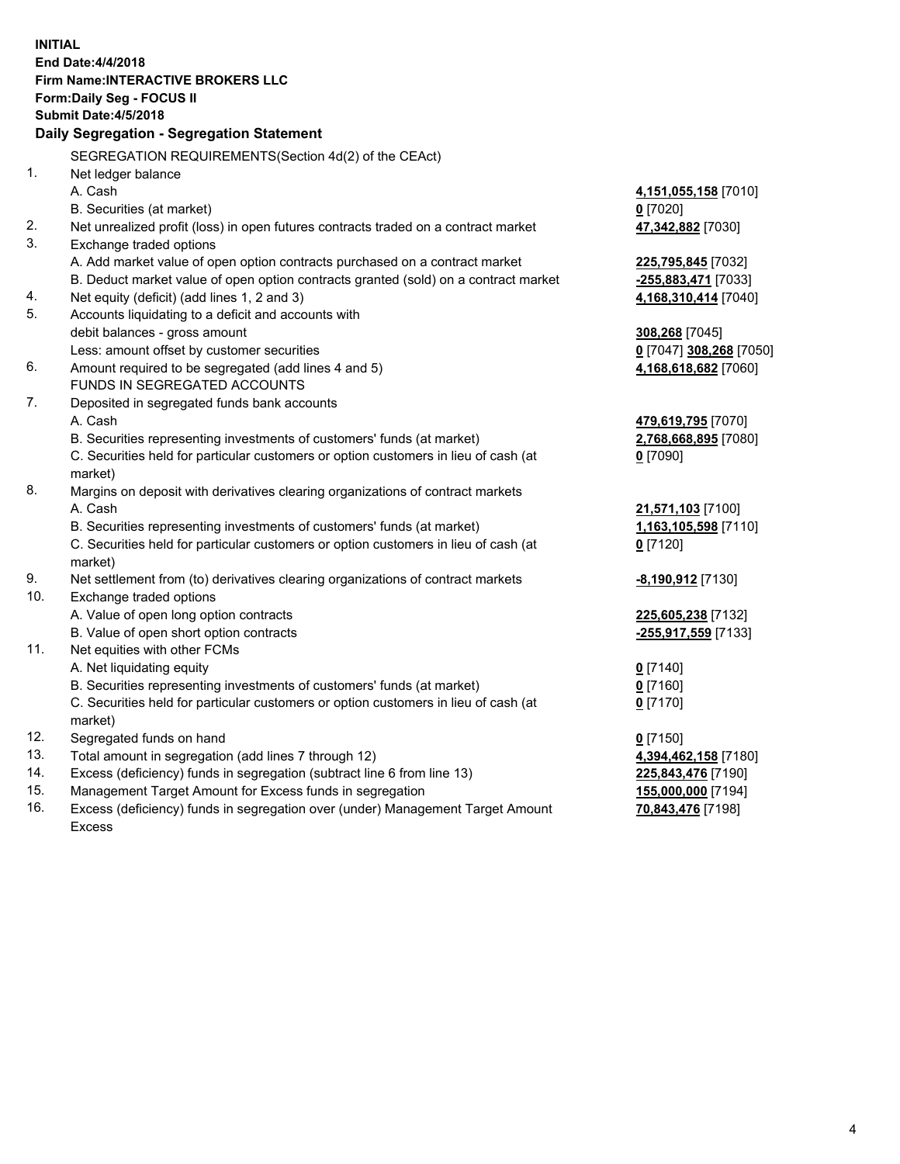**INITIAL End Date:4/4/2018 Firm Name:INTERACTIVE BROKERS LLC Form:Daily Seg - FOCUS II Submit Date:4/5/2018 Daily Segregation - Segregation Statement** SEGREGATION REQUIREMENTS(Section 4d(2) of the CEAct) 1. Net ledger balance A. Cash **4,151,055,158** [7010] B. Securities (at market) **0** [7020] 2. Net unrealized profit (loss) in open futures contracts traded on a contract market **47,342,882** [7030] 3. Exchange traded options A. Add market value of open option contracts purchased on a contract market **225,795,845** [7032] B. Deduct market value of open option contracts granted (sold) on a contract market **-255,883,471** [7033] 4. Net equity (deficit) (add lines 1, 2 and 3) **4,168,310,414** [7040] 5. Accounts liquidating to a deficit and accounts with debit balances - gross amount **308,268** [7045] Less: amount offset by customer securities **0** [7047] **308,268** [7050] 6. Amount required to be segregated (add lines 4 and 5) **4,168,618,682** [7060] FUNDS IN SEGREGATED ACCOUNTS 7. Deposited in segregated funds bank accounts A. Cash **479,619,795** [7070] B. Securities representing investments of customers' funds (at market) **2,768,668,895** [7080] C. Securities held for particular customers or option customers in lieu of cash (at market) **0** [7090] 8. Margins on deposit with derivatives clearing organizations of contract markets A. Cash **21,571,103** [7100] B. Securities representing investments of customers' funds (at market) **1,163,105,598** [7110] C. Securities held for particular customers or option customers in lieu of cash (at market) **0** [7120] 9. Net settlement from (to) derivatives clearing organizations of contract markets **-8,190,912** [7130] 10. Exchange traded options A. Value of open long option contracts **225,605,238** [7132] B. Value of open short option contracts **-255,917,559** [7133] 11. Net equities with other FCMs A. Net liquidating equity **0** [7140] B. Securities representing investments of customers' funds (at market) **0** [7160] C. Securities held for particular customers or option customers in lieu of cash (at market) **0** [7170] 12. Segregated funds on hand **0** [7150] 13. Total amount in segregation (add lines 7 through 12) **4,394,462,158** [7180] 14. Excess (deficiency) funds in segregation (subtract line 6 from line 13) **225,843,476** [7190] 15. Management Target Amount for Excess funds in segregation **155,000,000** [7194] **70,843,476** [7198]

16. Excess (deficiency) funds in segregation over (under) Management Target Amount Excess